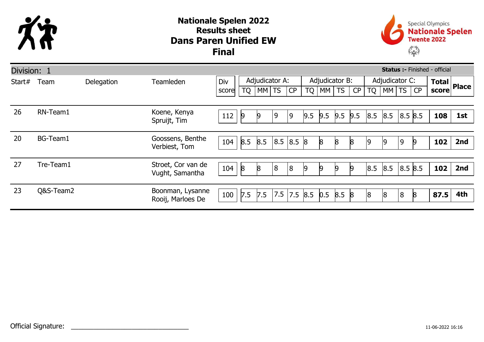

## Dans Paren Unified EW Nationale Spelen 2022 Results sheet Final



| <b>Status :- Finished - official</b><br>Division: 1 |           |            |                                       |       |                |         |     |                |           |     |                             |                |           |       |         |              |       |              |
|-----------------------------------------------------|-----------|------------|---------------------------------------|-------|----------------|---------|-----|----------------|-----------|-----|-----------------------------|----------------|-----------|-------|---------|--------------|-------|--------------|
| Start#                                              | Team      | Delegation | Teamleden                             | Div   | Adjudicator A: |         |     | Adjudicator B: |           |     |                             | Adjudicator C: |           |       |         | <b>Total</b> |       |              |
|                                                     |           |            |                                       | score | TQ             | $MM$ TS |     | CP             | <b>TQ</b> | MM  | $\overline{\phantom{a}}$ TS | CP             | <b>TQ</b> | MM TS |         | CP           | score | <b>Place</b> |
|                                                     |           |            |                                       |       |                |         |     |                |           |     |                             |                |           |       |         |              |       |              |
| 26                                                  | RN-Team1  |            | Koene, Kenya<br>Spruijt, Tim          | 112   | 19             | 9       | 9   | 9              | 9.5       | 9.5 | 9.5                         | 9.5            | 8.5       | 8.5   | 8.5 8.5 |              | 108   | 1st          |
|                                                     |           |            |                                       |       |                |         |     |                |           |     |                             |                |           |       |         |              |       |              |
| 20                                                  | BG-Team1  |            | Goossens, Benthe<br>Verbiest, Tom     | 104   | 8.5            | 8.5     | 8.5 | 8.5 8          |           | 8   | 8                           | 8              | 19        |       | 9       |              | 102   | 2nd          |
|                                                     |           |            |                                       |       |                |         |     |                |           |     |                             |                |           |       |         |              |       |              |
| 27                                                  | Tre-Team1 |            | Stroet, Cor van de<br>Vught, Samantha | 104   | $\mathsf{8}$   | 8       | 8   | $\overline{8}$ | 9         | 19  | $\mathsf{Q}$                | $\theta$       | 8.5       | 8.5   | 8.5 8.5 |              | 102   | 2nd          |
|                                                     |           |            |                                       |       |                |         |     |                |           |     |                             |                |           |       |         |              |       |              |
| 23                                                  | Q&S-Team2 |            | Boonman, Lysanne<br>Rooij, Marloes De | 100   | 7.5            | 7.5     | 7.5 | 7.5 8.5        |           | 0.5 | 8.5                         | $\mathsf{8}$   | 18        | 18    | 8       |              | 87.5  | 4th          |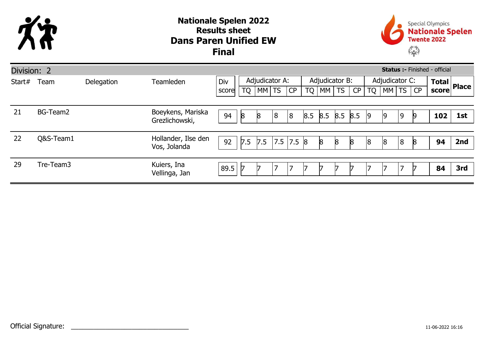

## Dans Paren Unified EW Nationale Spelen 2022 Results sheet Final



| Division: 2<br><b>Status :- Finished - official</b> |           |            |                                     |       |                |       |   |           |                |     |     |              |                |       |   |    |              |              |
|-----------------------------------------------------|-----------|------------|-------------------------------------|-------|----------------|-------|---|-----------|----------------|-----|-----|--------------|----------------|-------|---|----|--------------|--------------|
| Start#                                              | Team      | Delegation | Teamleden                           | Div   | Adjudicator A: |       |   |           | Adjudicator B: |     |     |              | Adjudicator C: |       |   |    | <b>Total</b> | <b>Place</b> |
|                                                     |           |            |                                     | score | TQ             | MM TS |   | CP        | <b>TQ</b>      | MM  | TS  | CP           | <b>TQ</b>      | MM TS |   |    | score        |              |
|                                                     |           |            |                                     |       |                |       |   |           |                |     |     |              |                |       |   |    |              |              |
| 21                                                  | BG-Team2  |            | Boeykens, Mariska<br>Grezlichowski, | 94    | 8              | 8     | 8 | 8         | 8.5            | 8.5 | 8.5 | 8.5          | $ 9\rangle$    | 9     | 9 | Ŀ  | 102          | 1st          |
|                                                     |           |            |                                     |       |                |       |   |           |                |     |     |              |                |       |   |    |              |              |
| 22                                                  | Q&S-Team1 |            | Hollander, Ilse den<br>Vos, Jolanda | 92    | 7.5            | 7.5   |   | 7.5 7.5 8 |                | 8   | 8   | $\mathsf{8}$ | 8              | 8     | 8 | 18 | 94           | 2nd          |
|                                                     |           |            |                                     |       |                |       |   |           |                |     |     |              |                |       |   |    |              |              |
| 29                                                  | Tre-Team3 |            | Kuiers, Ina<br>Vellinga, Jan        | 89.5  |                |       |   | 7         |                |     |     |              |                |       | ⇁ |    | 84           | 3rd          |